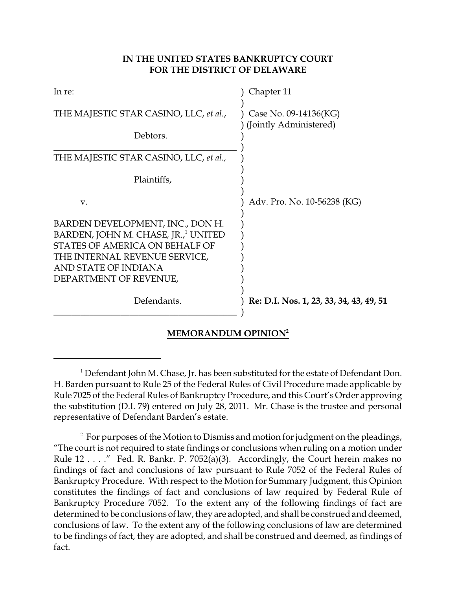## **IN THE UNITED STATES BANKRUPTCY COURT FOR THE DISTRICT OF DELAWARE**

| In re:                                                                                                                                                                                                   | Chapter 11                                      |
|----------------------------------------------------------------------------------------------------------------------------------------------------------------------------------------------------------|-------------------------------------------------|
| THE MAJESTIC STAR CASINO, LLC, et al.,                                                                                                                                                                   | Case No. 09-14136(KG)<br>(Jointly Administered) |
| Debtors.                                                                                                                                                                                                 |                                                 |
| THE MAJESTIC STAR CASINO, LLC, et al.,                                                                                                                                                                   |                                                 |
| Plaintiffs,                                                                                                                                                                                              |                                                 |
| V.                                                                                                                                                                                                       | Adv. Pro. No. 10-56238 (KG)                     |
| BARDEN DEVELOPMENT, INC., DON H.<br>BARDEN, JOHN M. CHASE, JR., <sup>1</sup> UNITED<br>STATES OF AMERICA ON BEHALF OF<br>THE INTERNAL REVENUE SERVICE,<br>AND STATE OF INDIANA<br>DEPARTMENT OF REVENUE, |                                                 |
| Defendants.                                                                                                                                                                                              | Re: D.I. Nos. 1, 23, 33, 34, 43, 49, 51         |
|                                                                                                                                                                                                          |                                                 |

# **MEMORANDUM OPINION<sup>2</sup>**

<sup>&</sup>lt;sup>1</sup> Defendant John M. Chase, Jr. has been substituted for the estate of Defendant Don. H. Barden pursuant to Rule 25 of the Federal Rules of Civil Procedure made applicable by Rule 7025 of the Federal Rules of Bankruptcy Procedure, and this Court's Order approving the substitution (D.I. 79) entered on July 28, 2011. Mr. Chase is the trustee and personal representative of Defendant Barden's estate.

 $<sup>2</sup>$  For purposes of the Motion to Dismiss and motion for judgment on the pleadings,</sup> "The court is not required to state findings or conclusions when ruling on a motion under Rule  $12...$  ." Fed. R. Bankr. P. 7052(a)(3). Accordingly, the Court herein makes no findings of fact and conclusions of law pursuant to Rule 7052 of the Federal Rules of Bankruptcy Procedure. With respect to the Motion for Summary Judgment, this Opinion constitutes the findings of fact and conclusions of law required by Federal Rule of Bankruptcy Procedure 7052. To the extent any of the following findings of fact are determined to be conclusions of law, they are adopted, and shall be construed and deemed, conclusions of law. To the extent any of the following conclusions of law are determined to be findings of fact, they are adopted, and shall be construed and deemed, as findings of fact.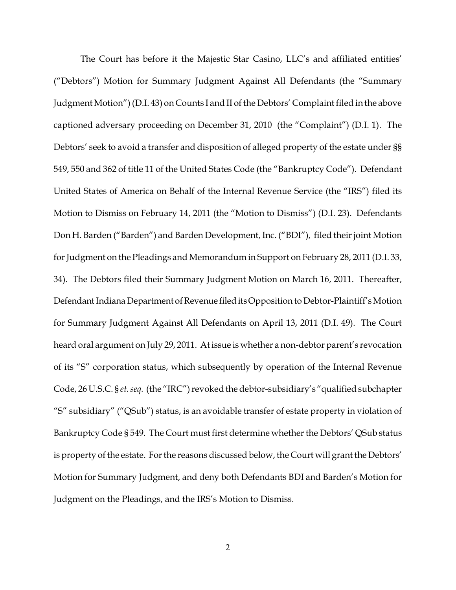The Court has before it the Majestic Star Casino, LLC's and affiliated entities' ("Debtors") Motion for Summary Judgment Against All Defendants (the "Summary Judgment Motion") (D.I. 43) on Counts I and II of the Debtors' Complaint filed in the above captioned adversary proceeding on December 31, 2010 (the "Complaint") (D.I. 1). The Debtors' seek to avoid a transfer and disposition of alleged property of the estate under §§ 549, 550 and 362 of title 11 of the United States Code (the "Bankruptcy Code"). Defendant United States of America on Behalf of the Internal Revenue Service (the "IRS") filed its Motion to Dismiss on February 14, 2011 (the "Motion to Dismiss") (D.I. 23). Defendants Don H. Barden ("Barden") and Barden Development, Inc. ("BDI"), filed their joint Motion for Judgment on the Pleadings and Memorandum in Support on February 28, 2011 (D.I. 33, 34). The Debtors filed their Summary Judgment Motion on March 16, 2011. Thereafter, Defendant Indiana Department of Revenue filed its Opposition to Debtor-Plaintiff's Motion for Summary Judgment Against All Defendants on April 13, 2011 (D.I. 49). The Court heard oral argument on July 29, 2011. At issue is whether a non-debtor parent's revocation of its "S" corporation status, which subsequently by operation of the Internal Revenue Code, 26 U.S.C. § *et. seq.* (the "IRC") revoked the debtor-subsidiary's "qualified subchapter "S" subsidiary" ("QSub") status, is an avoidable transfer of estate property in violation of Bankruptcy Code § 549. The Court must first determine whether the Debtors' QSub status is property of the estate. For the reasons discussed below, the Court will grant the Debtors' Motion for Summary Judgment, and deny both Defendants BDI and Barden's Motion for Judgment on the Pleadings, and the IRS's Motion to Dismiss.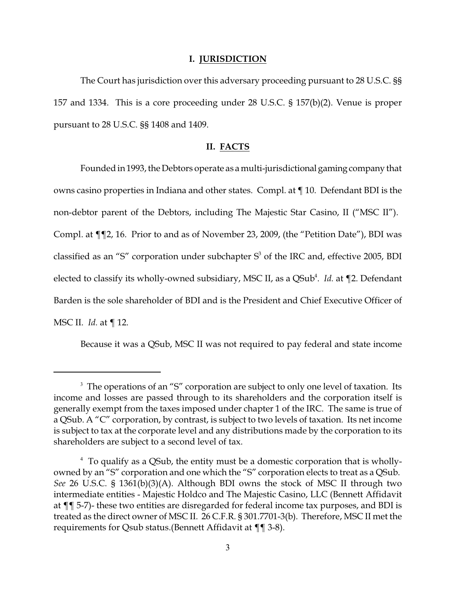#### **I. JURISDICTION**

The Court has jurisdiction over this adversary proceeding pursuant to 28 U.S.C. §§ 157 and 1334. This is a core proceeding under 28 U.S.C. § 157(b)(2). Venue is proper pursuant to 28 U.S.C. §§ 1408 and 1409.

### **II. FACTS**

Founded in 1993, the Debtors operate as a multi-jurisdictionalgaming company that owns casino properties in Indiana and other states. Compl. at ¶ 10. Defendant BDI is the non-debtor parent of the Debtors, including The Majestic Star Casino, II ("MSC II"). Compl. at ¶¶2, 16. Prior to and as of November 23, 2009, (the "Petition Date"), BDI was classified as an "S" corporation under subchapter  $S<sup>3</sup>$  of the IRC and, effective 2005, BDI elected to classify its wholly-owned subsidiary, MSC II, as a QSub<sup>4</sup>. *Id.* at ¶2. Defendant Barden is the sole shareholder of BDI and is the President and Chief Executive Officer of MSC II. *Id.* at ¶ 12.

Because it was a QSub, MSC II was not required to pay federal and state income

 $3$  The operations of an "S" corporation are subject to only one level of taxation. Its income and losses are passed through to its shareholders and the corporation itself is generally exempt from the taxes imposed under chapter 1 of the IRC. The same is true of a QSub. A "C" corporation, by contrast, is subject to two levels of taxation. Its net income is subject to tax at the corporate level and any distributions made by the corporation to its shareholders are subject to a second level of tax.

 $<sup>4</sup>$  To qualify as a QSub, the entity must be a domestic corporation that is wholly-</sup> owned by an "S" corporation and one which the "S" corporation elects to treat as a QSub. *See* 26 U.S.C. § 1361(b)(3)(A). Although BDI owns the stock of MSC II through two intermediate entities - Majestic Holdco and The Majestic Casino, LLC (Bennett Affidavit at ¶¶ 5-7)- these two entities are disregarded for federal income tax purposes, and BDI is treated as the direct owner of MSC II. 26 C.F.R. § 301.7701-3(b). Therefore, MSC II met the requirements for Qsub status.(Bennett Affidavit at ¶¶ 3-8).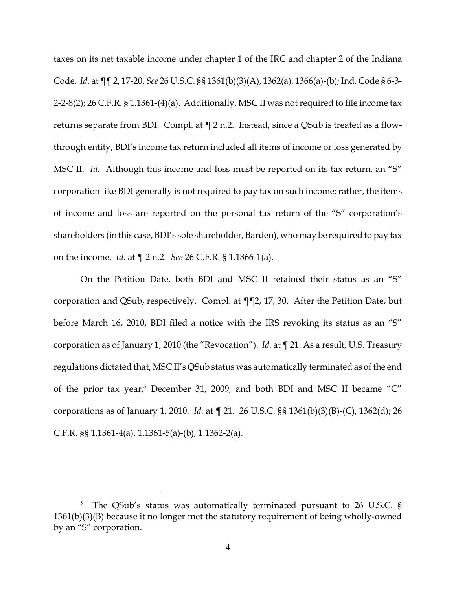taxes on its net taxable income under chapter 1 of the IRC and chapter 2 of the Indiana Code. *Id.* at ¶¶ 2, 17-20. *See* 26 U.S.C. §§ 1361(b)(3)(A), 1362(a), 1366(a)-(b); Ind. Code § 6-3- 2-2-8(2); 26 C.F.R. § 1.1361-(4)(a). Additionally, MSC II was not required to file income tax returns separate from BDI. Compl. at ¶ 2 n.2. Instead, since a QSub is treated as a flowthrough entity, BDI's income tax return included all items of income or loss generated by MSC II. *Id.* Although this income and loss must be reported on its tax return, an "S" corporation like BDI generally is not required to pay tax on such income; rather, the items of income and loss are reported on the personal tax return of the "S" corporation's shareholders (in this case, BDI's sole shareholder, Barden), who may be required to pay tax on the income. *Id.* at ¶ 2 n.2. *See* 26 C.F.R. § 1.1366-1(a).

On the Petition Date, both BDI and MSC II retained their status as an "S" corporation and QSub, respectively. Compl. at ¶¶2, 17, 30. After the Petition Date, but before March 16, 2010, BDI filed a notice with the IRS revoking its status as an "S" corporation as of January 1, 2010 (the "Revocation"). *Id.* at ¶ 21. As a result, U.S. Treasury regulations dictated that, MSC II's QSub status was automatically terminated as of the end of the prior tax year,<sup>5</sup> December 31, 2009, and both BDI and MSC II became "C" corporations as of January 1, 2010. *Id.* at ¶ 21. 26 U.S.C. §§ 1361(b)(3)(B)-(C), 1362(d); 26 C.F.R. §§ 1.1361-4(a), 1.1361-5(a)-(b), 1.1362-2(a).

 $5$  The QSub's status was automatically terminated pursuant to 26 U.S.C. § 1361(b)(3)(B) because it no longer met the statutory requirement of being wholly-owned by an "S" corporation.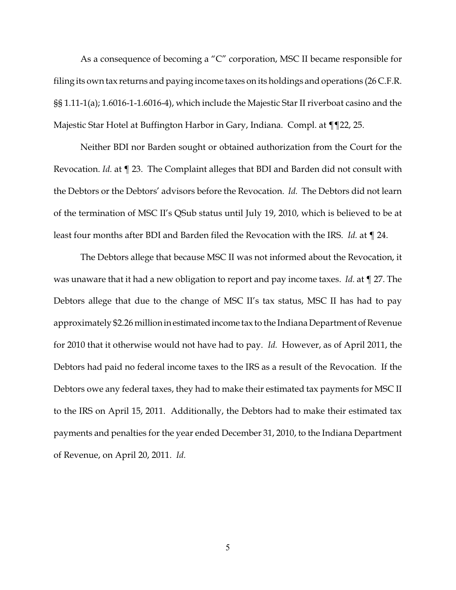As a consequence of becoming a "C" corporation, MSC II became responsible for filing its own tax returns and paying income taxes on its holdings and operations (26 C.F.R. §§ 1.11-1(a); 1.6016-1-1.6016-4), which include the Majestic Star II riverboat casino and the Majestic Star Hotel at Buffington Harbor in Gary, Indiana. Compl. at ¶¶22, 25.

Neither BDI nor Barden sought or obtained authorization from the Court for the Revocation. *Id.* at ¶ 23. The Complaint alleges that BDI and Barden did not consult with the Debtors or the Debtors' advisors before the Revocation. *Id.* The Debtors did not learn of the termination of MSC II's QSub status until July 19, 2010, which is believed to be at least four months after BDI and Barden filed the Revocation with the IRS. *Id.* at ¶ 24.

The Debtors allege that because MSC II was not informed about the Revocation, it was unaware that it had a new obligation to report and pay income taxes. *Id.* at ¶ 27. The Debtors allege that due to the change of MSC II's tax status, MSC II has had to pay approximately \$2.26 millioninestimatedincome tax to the Indiana Department of Revenue for 2010 that it otherwise would not have had to pay. *Id.* However, as of April 2011, the Debtors had paid no federal income taxes to the IRS as a result of the Revocation. If the Debtors owe any federal taxes, they had to make their estimated tax payments for MSC II to the IRS on April 15, 2011. Additionally, the Debtors had to make their estimated tax payments and penalties for the year ended December 31, 2010, to the Indiana Department of Revenue, on April 20, 2011. *Id.*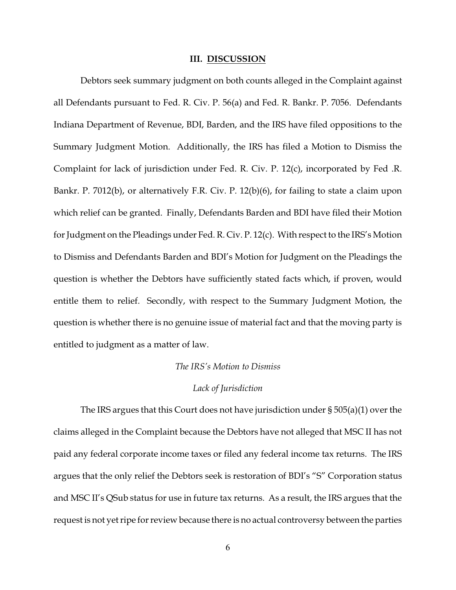#### **III. DISCUSSION**

Debtors seek summary judgment on both counts alleged in the Complaint against all Defendants pursuant to Fed. R. Civ. P. 56(a) and Fed. R. Bankr. P. 7056. Defendants Indiana Department of Revenue, BDI, Barden, and the IRS have filed oppositions to the Summary Judgment Motion. Additionally, the IRS has filed a Motion to Dismiss the Complaint for lack of jurisdiction under Fed. R. Civ. P. 12(c), incorporated by Fed .R. Bankr. P. 7012(b), or alternatively F.R. Civ. P. 12(b)(6), for failing to state a claim upon which relief can be granted. Finally, Defendants Barden and BDI have filed their Motion for Judgment on the Pleadings under Fed. R. Civ. P. 12(c). With respect to the IRS's Motion to Dismiss and Defendants Barden and BDI's Motion for Judgment on the Pleadings the question is whether the Debtors have sufficiently stated facts which, if proven, would entitle them to relief. Secondly, with respect to the Summary Judgment Motion, the question is whether there is no genuine issue of material fact and that the moving party is entitled to judgment as a matter of law.

## *The IRS's Motion to Dismiss*

#### *Lack of Jurisdiction*

The IRS argues that this Court does not have jurisdiction under § 505(a)(1) over the claims alleged in the Complaint because the Debtors have not alleged that MSC II has not paid any federal corporate income taxes or filed any federal income tax returns. The IRS argues that the only relief the Debtors seek is restoration of BDI's "S" Corporation status and MSC II's QSub status for use in future tax returns. As a result, the IRS argues that the request is not yet ripe for review because there is no actual controversy between the parties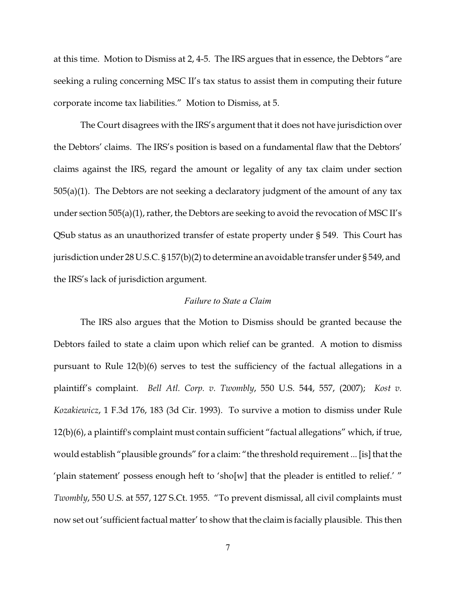at this time. Motion to Dismiss at 2, 4-5. The IRS argues that in essence, the Debtors "are seeking a ruling concerning MSC II's tax status to assist them in computing their future corporate income tax liabilities." Motion to Dismiss, at 5.

The Court disagrees with the IRS's argument that it does not have jurisdiction over the Debtors' claims. The IRS's position is based on a fundamental flaw that the Debtors' claims against the IRS, regard the amount or legality of any tax claim under section  $505(a)(1)$ . The Debtors are not seeking a declaratory judgment of the amount of any tax under section 505(a)(1), rather, the Debtors are seeking to avoid the revocation of MSC II's QSub status as an unauthorized transfer of estate property under § 549. This Court has jurisdiction under 28 U.S.C. § 157(b)(2) to determine an avoidable transfer under § 549, and the IRS's lack of jurisdiction argument.

## *Failure to State a Claim*

The IRS also argues that the Motion to Dismiss should be granted because the Debtors failed to state a claim upon which relief can be granted. A motion to dismiss pursuant to Rule 12(b)(6) serves to test the sufficiency of the factual allegations in a plaintiff's complaint. *Bell Atl. Corp. v. Twombly*, 550 U.S. 544, 557, (2007); *Kost v. Kozakiewicz*, 1 F.3d 176, 183 (3d Cir. 1993). To survive a motion to dismiss under Rule 12(b)(6), a plaintiff's complaint must contain sufficient "factual allegations" which, if true, would establish "plausible grounds" for a claim: "the threshold requirement ... [is] that the 'plain statement' possess enough heft to 'sho[w] that the pleader is entitled to relief.' " *Twombly*, 550 U.S. at 557, 127 S.Ct. 1955. "To prevent dismissal, all civil complaints must now set out 'sufficient factual matter' to show that the claim is facially plausible. This then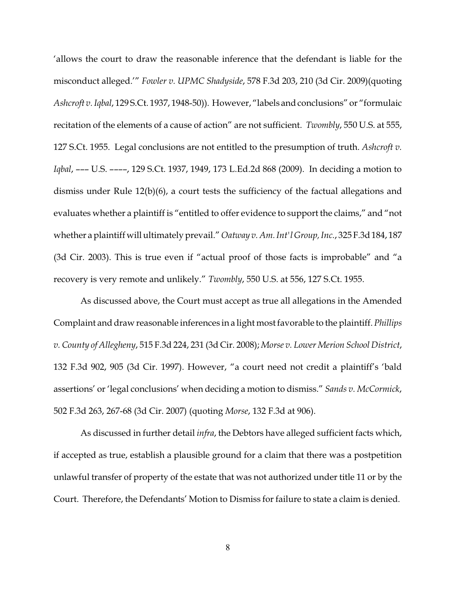'allows the court to draw the reasonable inference that the defendant is liable for the misconduct alleged.'" *Fowler v. UPMC Shadyside*, 578 F.3d 203, 210 (3d Cir. 2009)(quoting *Ashcroft v. Iqbal*, 129 S.Ct. 1937, 1948-50)). However, "labels and conclusions" or "formulaic recitation of the elements of a cause of action" are not sufficient. *Twombly*, 550 U.S. at 555, 127 S.Ct. 1955. Legal conclusions are not entitled to the presumption of truth. *Ashcroft v. Iqbal*, ––– U.S. ––––, 129 S.Ct. 1937, 1949, 173 L.Ed.2d 868 (2009). In deciding a motion to dismiss under Rule 12(b)(6), a court tests the sufficiency of the factual allegations and evaluates whether a plaintiff is "entitled to offer evidence to support the claims," and "not whether a plaintiff will ultimately prevail." *Oatway v. Am. Int'l Group, Inc.*, 325 F.3d 184, 187 (3d Cir. 2003). This is true even if "actual proof of those facts is improbable" and "a recovery is very remote and unlikely." *Twombly*, 550 U.S. at 556, 127 S.Ct. 1955.

As discussed above, the Court must accept as true all allegations in the Amended Complaint and draw reasonable inferences in a light most favorable to the plaintiff. *Phillips v. County of Allegheny*, 515 F.3d 224, 231 (3d Cir. 2008); *Morse v. Lower Merion School District*, 132 F.3d 902, 905 (3d Cir. 1997). However, "a court need not credit a plaintiff's 'bald assertions' or 'legal conclusions' when deciding a motion to dismiss." *Sands v. McCormick*, 502 F.3d 263, 267-68 (3d Cir. 2007) (quoting *Morse*, 132 F.3d at 906).

As discussed in further detail *infra*, the Debtors have alleged sufficient facts which, if accepted as true, establish a plausible ground for a claim that there was a postpetition unlawful transfer of property of the estate that was not authorized under title 11 or by the Court. Therefore, the Defendants' Motion to Dismiss for failure to state a claim is denied.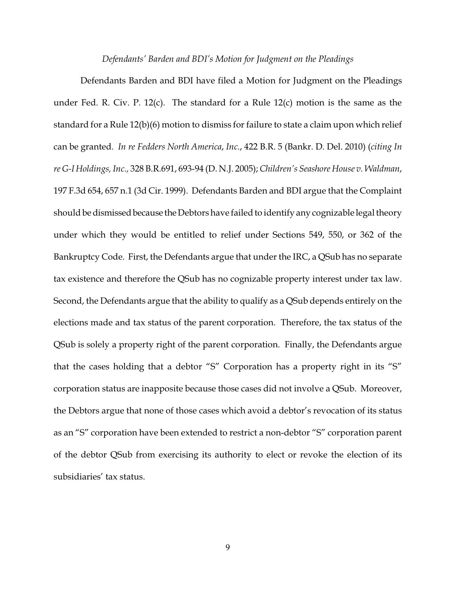#### *Defendants' Barden and BDI's Motion for Judgment on the Pleadings*

Defendants Barden and BDI have filed a Motion for Judgment on the Pleadings under Fed. R. Civ. P. 12(c). The standard for a Rule 12(c) motion is the same as the standard for a Rule 12(b)(6) motion to dismiss for failure to state a claim upon which relief can be granted. *In re Fedders North America*, *Inc.*, 422 B.R. 5 (Bankr. D. Del. 2010) (*citing In re G-I Holdings, Inc.,* 328 B.R.691, 693-94 (D. N.J. 2005); *Children's Seashore House v. Waldman*, 197 F.3d 654, 657 n.1 (3d Cir. 1999). Defendants Barden and BDI argue that the Complaint should be dismissed because the Debtors have failed to identify any cognizable legal theory under which they would be entitled to relief under Sections 549, 550, or 362 of the Bankruptcy Code. First, the Defendants argue that under the IRC, a QSub has no separate tax existence and therefore the QSub has no cognizable property interest under tax law. Second, the Defendants argue that the ability to qualify as a QSub depends entirely on the elections made and tax status of the parent corporation. Therefore, the tax status of the QSub is solely a property right of the parent corporation. Finally, the Defendants argue that the cases holding that a debtor "S" Corporation has a property right in its "S" corporation status are inapposite because those cases did not involve a QSub. Moreover, the Debtors argue that none of those cases which avoid a debtor's revocation of its status as an "S" corporation have been extended to restrict a non-debtor "S" corporation parent of the debtor QSub from exercising its authority to elect or revoke the election of its subsidiaries' tax status.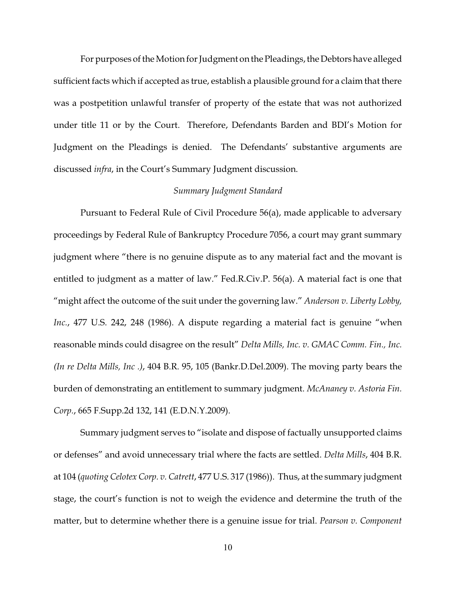For purposes of the Motion for Judgment on the Pleadings, the Debtors have alleged sufficient facts which if accepted as true, establish a plausible ground for a claim that there was a postpetition unlawful transfer of property of the estate that was not authorized under title 11 or by the Court. Therefore, Defendants Barden and BDI's Motion for Judgment on the Pleadings is denied. The Defendants' substantive arguments are discussed *infra*, in the Court's Summary Judgment discussion.

#### *Summary Judgment Standard*

Pursuant to Federal Rule of Civil Procedure 56(a), made applicable to adversary proceedings by Federal Rule of Bankruptcy Procedure 7056, a court may grant summary judgment where "there is no genuine dispute as to any material fact and the movant is entitled to judgment as a matter of law." Fed.R.Civ.P. 56(a). A material fact is one that "might affect the outcome of the suit under the governing law." *Anderson v. Liberty Lobby, Inc.*, 477 U.S. 242, 248 (1986). A dispute regarding a material fact is genuine "when reasonable minds could disagree on the result" *Delta Mills, Inc. v. GMAC Comm. Fin., Inc. (In re Delta Mills, Inc .)*, 404 B.R. 95, 105 (Bankr.D.Del.2009). The moving party bears the burden of demonstrating an entitlement to summary judgment. *McAnaney v. Astoria Fin. Corp.*, 665 F.Supp.2d 132, 141 (E.D.N.Y.2009).

Summary judgment serves to "isolate and dispose of factually unsupported claims or defenses" and avoid unnecessary trial where the facts are settled. *Delta Mills*, 404 B.R. at 104 (*quoting Celotex Corp. v. Catrett*, 477 U.S. 317 (1986)). Thus, at the summary judgment stage, the court's function is not to weigh the evidence and determine the truth of the matter, but to determine whether there is a genuine issue for trial. *Pearson v. Component*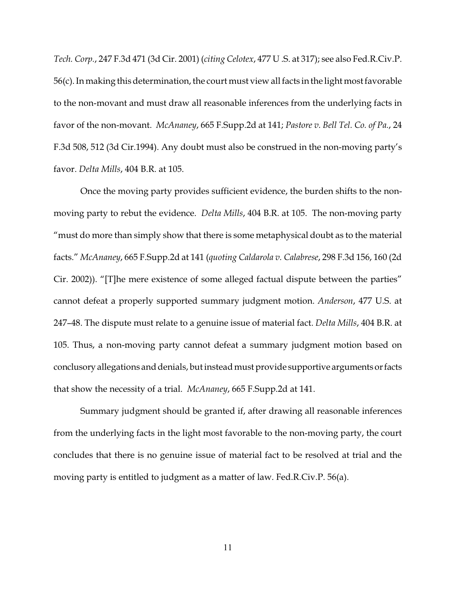*Tech. Corp.*, 247 F.3d 471 (3d Cir. 2001) (*citing Celotex*, 477 U .S. at 317); see also Fed.R.Civ.P. 56(c). In making this determination, the court must view all facts in the light most favorable to the non-movant and must draw all reasonable inferences from the underlying facts in favor of the non-movant. *McAnaney*, 665 F.Supp.2d at 141; *Pastore v. Bell Tel. Co. of Pa.*, 24 F.3d 508, 512 (3d Cir.1994). Any doubt must also be construed in the non-moving party's favor. *Delta Mills*, 404 B.R. at 105.

Once the moving party provides sufficient evidence, the burden shifts to the nonmoving party to rebut the evidence. *Delta Mills*, 404 B.R. at 105. The non-moving party "must do more than simply show that there is some metaphysical doubt as to the material facts." *McAnaney*, 665 F.Supp.2d at 141 (*quoting Caldarola v. Calabrese*, 298 F.3d 156, 160 (2d Cir. 2002)). "[T]he mere existence of some alleged factual dispute between the parties" cannot defeat a properly supported summary judgment motion. *Anderson*, 477 U.S. at 247–48. The dispute must relate to a genuine issue of material fact. *Delta Mills*, 404 B.R. at 105. Thus, a non-moving party cannot defeat a summary judgment motion based on conclusory allegations and denials, but instead must provide supportive argumentsorfacts that show the necessity of a trial. *McAnaney*, 665 F.Supp.2d at 141.

Summary judgment should be granted if, after drawing all reasonable inferences from the underlying facts in the light most favorable to the non-moving party, the court concludes that there is no genuine issue of material fact to be resolved at trial and the moving party is entitled to judgment as a matter of law. Fed.R.Civ.P. 56(a).

11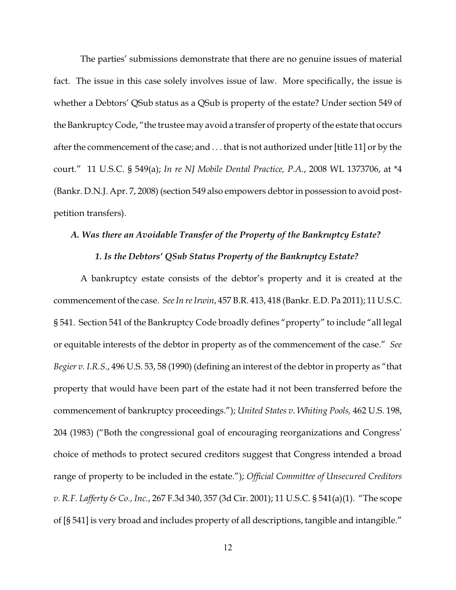The parties' submissions demonstrate that there are no genuine issues of material fact. The issue in this case solely involves issue of law. More specifically, the issue is whether a Debtors' QSub status as a QSub is property of the estate? Under section 549 of the Bankruptcy Code, "the trustee may avoid a transfer of property of the estate that occurs after the commencement of the case; and . . . that is not authorized under [title 11] or by the court." 11 U.S.C. § 549(a); *In re NJ Mobile Dental Practice, P.A.*, 2008 WL 1373706, at \*4 (Bankr. D.N.J. Apr. 7, 2008) (section 549 also empowers debtorin possession to avoid postpetition transfers).

## *A. Was there an Avoidable Transfer of the Property of the Bankruptcy Estate?*

### *1. Is the Debtors' QSub Status Property of the Bankruptcy Estate?*

A bankruptcy estate consists of the debtor's property and it is created at the commencement of the case. *See In re Irwin*, 457 B.R. 413, 418 (Bankr. E.D. Pa 2011); 11 U.S.C. § 541. Section 541 of the Bankruptcy Code broadly defines "property" to include "all legal or equitable interests of the debtor in property as of the commencement of the case." *See Begier v. I.R.S.*, 496 U.S. 53, 58 (1990) (defining an interest of the debtor in property as "that property that would have been part of the estate had it not been transferred before the commencement of bankruptcy proceedings."); *United States v. Whiting Pools,* 462 U.S. 198, 204 (1983) ("Both the congressional goal of encouraging reorganizations and Congress' choice of methods to protect secured creditors suggest that Congress intended a broad range of property to be included in the estate."); *Official Committee of Unsecured Creditors v. R.F. Lafferty & Co., Inc.*, 267 F.3d 340, 357 (3d Cir. 2001); 11 U.S.C. § 541(a)(1). "The scope of [§ 541] is very broad and includes property of all descriptions, tangible and intangible."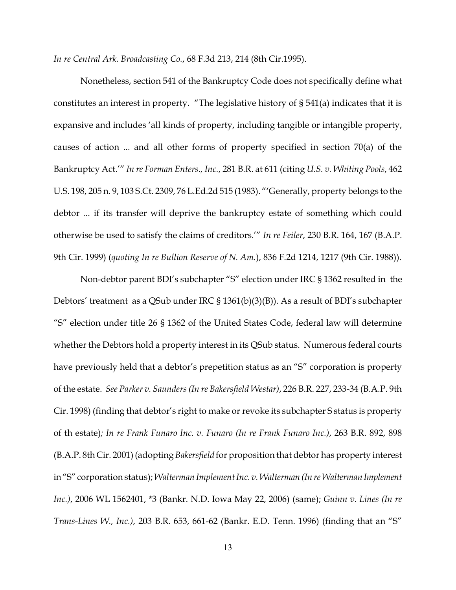*In re Central Ark. Broadcasting Co.*, 68 F.3d 213, 214 (8th Cir.1995).

Nonetheless, section 541 of the Bankruptcy Code does not specifically define what constitutes an interest in property. "The legislative history of § 541(a) indicates that it is expansive and includes 'all kinds of property, including tangible or intangible property, causes of action ... and all other forms of property specified in section 70(a) of the Bankruptcy Act.'" *In re Forman Enters., Inc.*, 281 B.R. at 611 (citing *U.S. v. Whiting Pools*, 462 U.S. 198, 205 n. 9, 103 S.Ct. 2309, 76 L.Ed.2d 515 (1983). "'Generally, property belongs to the debtor ... if its transfer will deprive the bankruptcy estate of something which could otherwise be used to satisfy the claims of creditors.'" *In re Feiler*, 230 B.R. 164, 167 (B.A.P. 9th Cir. 1999) (*quoting In re Bullion Reserve of N. Am.*), 836 F.2d 1214, 1217 (9th Cir. 1988)).

Non-debtor parent BDI's subchapter "S" election under IRC § 1362 resulted in the Debtors' treatment as a QSub under IRC § 1361(b)(3)(B)). As a result of BDI's subchapter "S" election under title 26 § 1362 of the United States Code, federal law will determine whether the Debtors hold a property interest in its QSub status. Numerous federal courts have previously held that a debtor's prepetition status as an "S" corporation is property of the estate. *See Parker v. Saunders (In re Bakersfield Westar)*, 226 B.R. 227, 233-34 (B.A.P. 9th Cir. 1998) (finding that debtor's right to make or revoke its subchapter S status is property of th estate)*; In re Frank Funaro Inc. v. Funaro (In re Frank Funaro Inc.)*, 263 B.R. 892, 898 (B.A.P. 8th Cir. 2001) (adopting *Bakersfield* for proposition that debtor has property interest in"S" corporation status); *Walterman Implement Inc. v. Walterman (In re Walterman Implement Inc.)*, 2006 WL 1562401, \*3 (Bankr. N.D. Iowa May 22, 2006) (same); *Guinn v. Lines (In re Trans-Lines W., Inc.)*, 203 B.R. 653, 661-62 (Bankr. E.D. Tenn. 1996) (finding that an "S"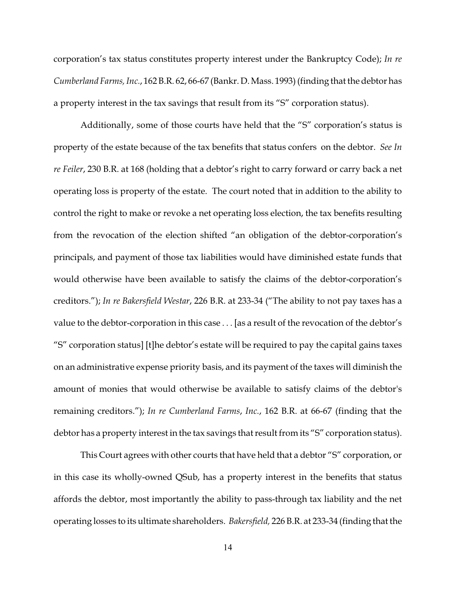corporation's tax status constitutes property interest under the Bankruptcy Code); *In re Cumberland Farms, Inc.*, 162 B.R. 62, 66-67 (Bankr. D. Mass. 1993) (finding that the debtor has a property interest in the tax savings that result from its "S" corporation status).

Additionally, some of those courts have held that the "S" corporation's status is property of the estate because of the tax benefits that status confers on the debtor. *See In re Feiler*, 230 B.R. at 168 (holding that a debtor's right to carry forward or carry back a net operating loss is property of the estate. The court noted that in addition to the ability to control the right to make or revoke a net operating loss election, the tax benefits resulting from the revocation of the election shifted "an obligation of the debtor-corporation's principals, and payment of those tax liabilities would have diminished estate funds that would otherwise have been available to satisfy the claims of the debtor-corporation's creditors."); *In re Bakersfield Westar*, 226 B.R. at 233-34 ("The ability to not pay taxes has a value to the debtor-corporation in this case . . . [as a result of the revocation of the debtor's "S" corporation status] [t]he debtor's estate will be required to pay the capital gains taxes on an administrative expense priority basis, and its payment of the taxes will diminish the amount of monies that would otherwise be available to satisfy claims of the debtor's remaining creditors."); *In re Cumberland Farms*, *Inc.*, 162 B.R. at 66-67 (finding that the debtor has a property interest in the tax savings that result from its "S" corporation status).

This Court agrees with other courts that have held that a debtor "S" corporation, or in this case its wholly-owned QSub, has a property interest in the benefits that status affords the debtor, most importantly the ability to pass-through tax liability and the net operating losses to its ultimate shareholders. *Bakersfield,* 226 B.R. at 233-34 (finding that the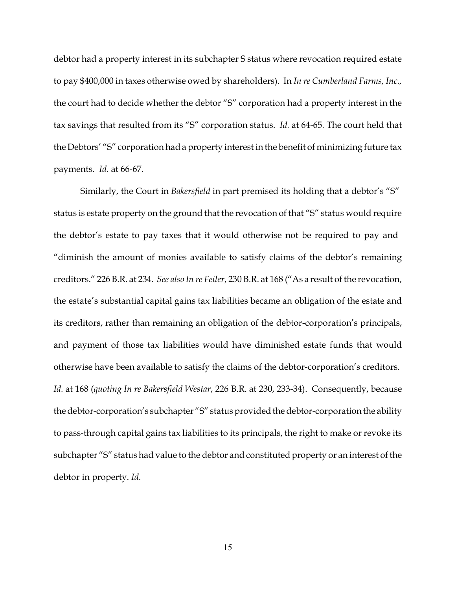debtor had a property interest in its subchapter S status where revocation required estate to pay \$400,000 in taxes otherwise owed by shareholders). In *In re Cumberland Farms, Inc.,* the court had to decide whether the debtor "S" corporation had a property interest in the tax savings that resulted from its "S" corporation status. *Id.* at 64-65. The court held that the Debtors' "S" corporation had a property interest in the benefit of minimizing future tax payments. *Id.* at 66-67.

Similarly, the Court in *Bakersfield* in part premised its holding that a debtor's "S" status is estate property on the ground that the revocation of that "S" status would require the debtor's estate to pay taxes that it would otherwise not be required to pay and "diminish the amount of monies available to satisfy claims of the debtor's remaining creditors." 226 B.R. at 234. *See also In re Feiler*, 230 B.R. at 168 ("As a result of the revocation, the estate's substantial capital gains tax liabilities became an obligation of the estate and its creditors, rather than remaining an obligation of the debtor-corporation's principals, and payment of those tax liabilities would have diminished estate funds that would otherwise have been available to satisfy the claims of the debtor-corporation's creditors. *Id.* at 168 (*quoting In re Bakersfield Westar*, 226 B.R. at 230, 233-34). Consequently, because the debtor-corporation's subchapter "S" status provided the debtor-corporation the ability to pass-through capital gains tax liabilities to its principals, the right to make or revoke its subchapter "S" status had value to the debtor and constituted property or an interest of the debtor in property. *Id.*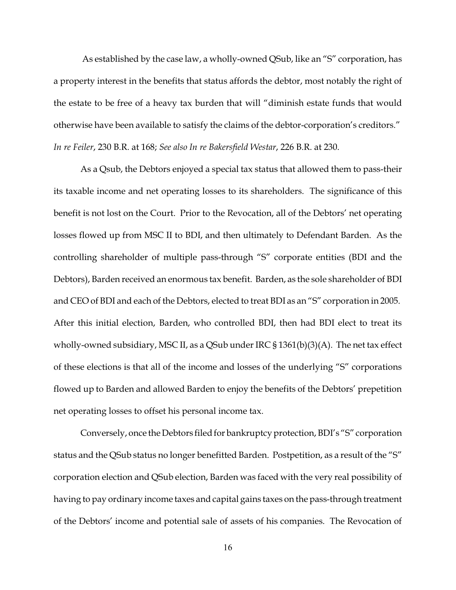As established by the case law, a wholly-owned QSub, like an "S" corporation, has a property interest in the benefits that status affords the debtor, most notably the right of the estate to be free of a heavy tax burden that will "diminish estate funds that would otherwise have been available to satisfy the claims of the debtor-corporation's creditors." *In re Feiler*, 230 B.R. at 168; *See also In re Bakersfield Westar*, 226 B.R. at 230.

As a Qsub, the Debtors enjoyed a special tax status that allowed them to pass-their its taxable income and net operating losses to its shareholders. The significance of this benefit is not lost on the Court. Prior to the Revocation, all of the Debtors' net operating losses flowed up from MSC II to BDI, and then ultimately to Defendant Barden. As the controlling shareholder of multiple pass-through "S" corporate entities (BDI and the Debtors), Barden received an enormous tax benefit. Barden, as the sole shareholder of BDI and CEO of BDI and each of the Debtors, elected to treat BDI as an "S" corporation in 2005. After this initial election, Barden, who controlled BDI, then had BDI elect to treat its wholly-owned subsidiary, MSC II, as a QSub under IRC § 1361(b)(3)(A). The net tax effect of these elections is that all of the income and losses of the underlying "S" corporations flowed up to Barden and allowed Barden to enjoy the benefits of the Debtors' prepetition net operating losses to offset his personal income tax.

Conversely, once the Debtors filed for bankruptcy protection, BDI's "S" corporation status and the QSub status no longer benefitted Barden. Postpetition, as a result of the "S" corporation election and QSub election, Barden was faced with the very real possibility of having to pay ordinary income taxes and capital gains taxes on the pass-through treatment of the Debtors' income and potential sale of assets of his companies. The Revocation of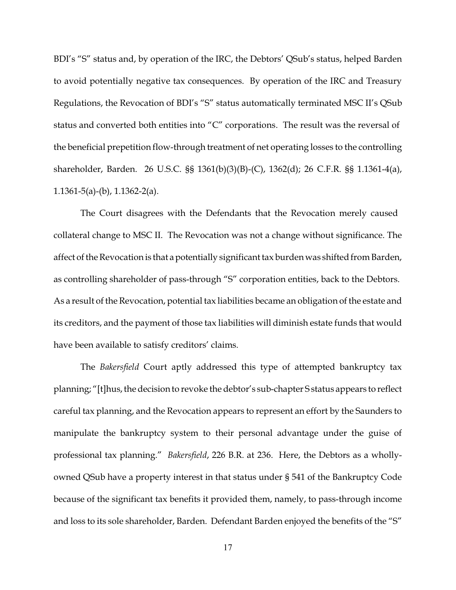BDI's "S" status and, by operation of the IRC, the Debtors' QSub's status, helped Barden to avoid potentially negative tax consequences. By operation of the IRC and Treasury Regulations, the Revocation of BDI's "S" status automatically terminated MSC II's QSub status and converted both entities into "C" corporations. The result was the reversal of the beneficial prepetition flow-through treatment of net operating losses to the controlling shareholder, Barden. 26 U.S.C. §§ 1361(b)(3)(B)-(C), 1362(d); 26 C.F.R. §§ 1.1361-4(a), 1.1361-5(a)-(b), 1.1362-2(a).

The Court disagrees with the Defendants that the Revocation merely caused collateral change to MSC II. The Revocation was not a change without significance. The affect of the Revocation is that a potentially significant tax burden was shifted from Barden, as controlling shareholder of pass-through "S" corporation entities, back to the Debtors. As a result of the Revocation, potential tax liabilities became an obligation of the estate and its creditors, and the payment of those tax liabilities will diminish estate funds that would have been available to satisfy creditors' claims.

The *Bakersfield* Court aptly addressed this type of attempted bankruptcy tax planning; "[t]hus, the decision to revoke the debtor's sub-chapter S status appears to reflect careful tax planning, and the Revocation appears to represent an effort by the Saunders to manipulate the bankruptcy system to their personal advantage under the guise of professional tax planning." *Bakersfield*, 226 B.R. at 236. Here, the Debtors as a whollyowned QSub have a property interest in that status under § 541 of the Bankruptcy Code because of the significant tax benefits it provided them, namely, to pass-through income and loss to its sole shareholder, Barden. Defendant Barden enjoyed the benefits of the "S"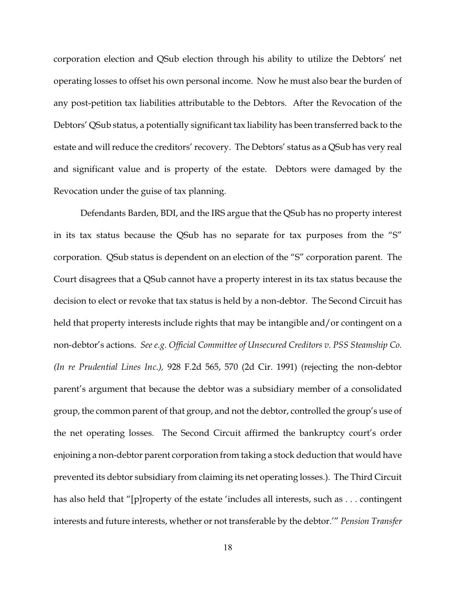corporation election and QSub election through his ability to utilize the Debtors' net operating losses to offset his own personal income. Now he must also bear the burden of any post-petition tax liabilities attributable to the Debtors. After the Revocation of the Debtors' QSub status, a potentially significant tax liability has been transferred back to the estate and will reduce the creditors' recovery. The Debtors' status as a QSub has very real and significant value and is property of the estate. Debtors were damaged by the Revocation under the guise of tax planning.

Defendants Barden, BDI, and the IRS argue that the QSub has no property interest in its tax status because the QSub has no separate for tax purposes from the "S" corporation. QSub status is dependent on an election of the "S" corporation parent. The Court disagrees that a QSub cannot have a property interest in its tax status because the decision to elect or revoke that tax status is held by a non-debtor. The Second Circuit has held that property interests include rights that may be intangible and/or contingent on a non-debtor's actions. *See e.g. Official Committee of Unsecured Creditors v. PSS Steamship Co. (In re Prudential Lines Inc.),* 928 F.2d 565, 570 (2d Cir. 1991) (rejecting the non-debtor parent's argument that because the debtor was a subsidiary member of a consolidated group, the common parent of that group, and not the debtor, controlled the group's use of the net operating losses. The Second Circuit affirmed the bankruptcy court's order enjoining a non-debtor parent corporation from taking a stock deduction that would have prevented its debtor subsidiary from claiming its net operating losses.). The Third Circuit has also held that "[p]roperty of the estate 'includes all interests, such as . . . contingent interests and future interests, whether or not transferable by the debtor.'" *Pension Transfer*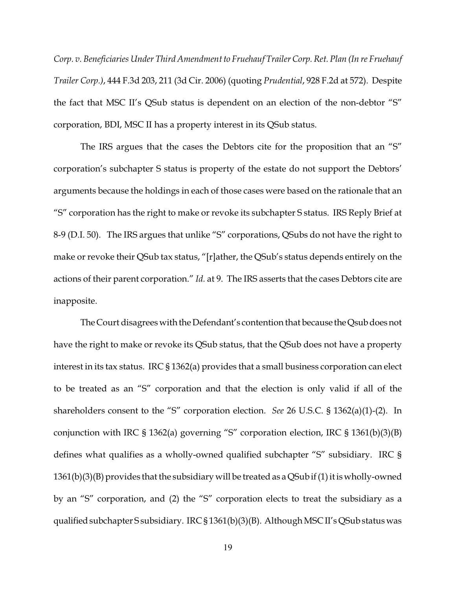*Corp. v. Beneficiaries Under Third Amendment to Fruehauf Trailer Corp. Ret. Plan (In re Fruehauf Trailer Corp.)*, 444 F.3d 203, 211 (3d Cir. 2006) (quoting *Prudential*, 928 F.2d at 572). Despite the fact that MSC II's QSub status is dependent on an election of the non-debtor "S" corporation, BDI, MSC II has a property interest in its QSub status.

The IRS argues that the cases the Debtors cite for the proposition that an "S" corporation's subchapter S status is property of the estate do not support the Debtors' arguments because the holdings in each of those cases were based on the rationale that an "S" corporation has the right to make or revoke its subchapter S status. IRS Reply Brief at 8-9 (D.I. 50). The IRS argues that unlike "S" corporations, QSubs do not have the right to make or revoke their QSub tax status, "[r]ather, the QSub's status depends entirely on the actions of their parent corporation." *Id.* at 9. The IRS asserts that the cases Debtors cite are inapposite.

The Court disagrees with the Defendant's contention that because the Qsub does not have the right to make or revoke its QSub status, that the QSub does not have a property interest in its tax status. IRC § 1362(a) provides that a small business corporation can elect to be treated as an "S" corporation and that the election is only valid if all of the shareholders consent to the "S" corporation election. *See* 26 U.S.C. § 1362(a)(1)-(2). In conjunction with IRC § 1362(a) governing "S" corporation election, IRC § 1361(b)(3)(B) defines what qualifies as a wholly-owned qualified subchapter "S" subsidiary. IRC § 1361(b)(3)(B) provides that the subsidiary will be treated as a QSub if (1) it is wholly-owned by an "S" corporation, and (2) the "S" corporation elects to treat the subsidiary as a qualified subchapter S subsidiary. IRC § 1361(b)(3)(B). Although MSC II's QSub status was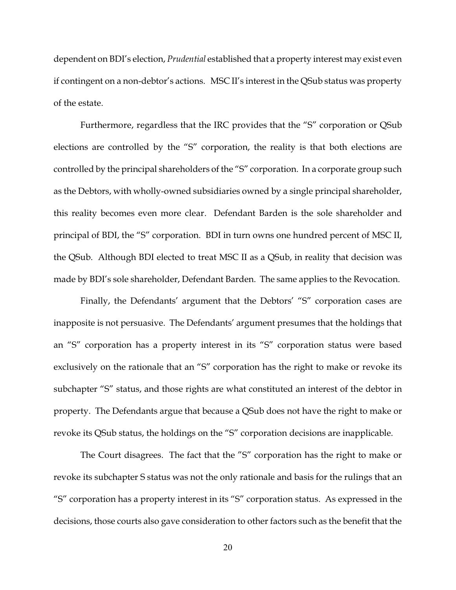dependent on BDI's election, *Prudential* established that a property interest may exist even if contingent on a non-debtor's actions. MSC II's interest in the QSub status was property of the estate.

Furthermore, regardless that the IRC provides that the "S" corporation or QSub elections are controlled by the "S" corporation, the reality is that both elections are controlled by the principal shareholders of the "S" corporation. In a corporate group such as the Debtors, with wholly-owned subsidiaries owned by a single principal shareholder, this reality becomes even more clear. Defendant Barden is the sole shareholder and principal of BDI, the "S" corporation. BDI in turn owns one hundred percent of MSC II, the QSub. Although BDI elected to treat MSC II as a QSub, in reality that decision was made by BDI's sole shareholder, Defendant Barden. The same applies to the Revocation.

Finally, the Defendants' argument that the Debtors' "S" corporation cases are inapposite is not persuasive. The Defendants' argument presumes that the holdings that an "S" corporation has a property interest in its "S" corporation status were based exclusively on the rationale that an "S" corporation has the right to make or revoke its subchapter "S" status, and those rights are what constituted an interest of the debtor in property. The Defendants argue that because a QSub does not have the right to make or revoke its QSub status, the holdings on the "S" corporation decisions are inapplicable.

The Court disagrees. The fact that the "S" corporation has the right to make or revoke its subchapter S status was not the only rationale and basis for the rulings that an "S" corporation has a property interest in its "S" corporation status. As expressed in the decisions, those courts also gave consideration to other factors such as the benefit that the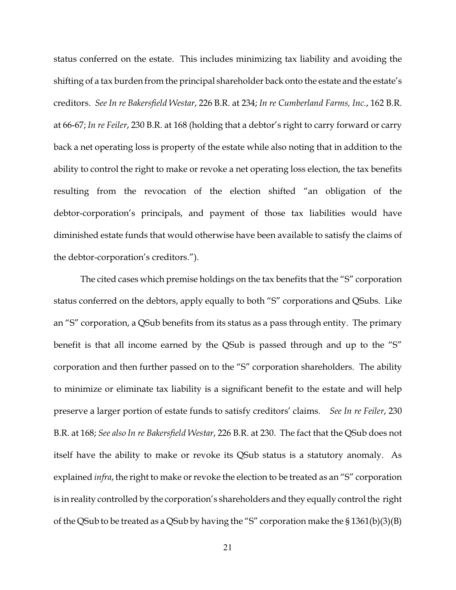status conferred on the estate. This includes minimizing tax liability and avoiding the shifting of a tax burden from the principal shareholder back onto the estate and the estate's creditors. *See In re Bakersfield Westar*, 226 B.R. at 234; *In re Cumberland Farms, Inc.*, 162 B.R. at 66-67; *In re Feiler*, 230 B.R. at 168 (holding that a debtor's right to carry forward or carry back a net operating loss is property of the estate while also noting that in addition to the ability to control the right to make or revoke a net operating loss election, the tax benefits resulting from the revocation of the election shifted "an obligation of the debtor-corporation's principals, and payment of those tax liabilities would have diminished estate funds that would otherwise have been available to satisfy the claims of the debtor-corporation's creditors.").

The cited cases which premise holdings on the tax benefits that the "S" corporation status conferred on the debtors, apply equally to both "S" corporations and QSubs. Like an "S" corporation, a QSub benefits from its status as a pass through entity. The primary benefit is that all income earned by the QSub is passed through and up to the "S" corporation and then further passed on to the "S" corporation shareholders. The ability to minimize or eliminate tax liability is a significant benefit to the estate and will help preserve a larger portion of estate funds to satisfy creditors' claims. *See In re Feiler*, 230 B.R. at 168; *See also In re Bakersfield Westar*, 226 B.R. at 230. The fact that the QSub does not itself have the ability to make or revoke its QSub status is a statutory anomaly. As explained *infra*, the right to make or revoke the election to be treated as an "S" corporation is in reality controlled by the corporation's shareholders and they equally control the right of the QSub to be treated as a QSub by having the "S" corporation make the § 1361(b)(3)(B)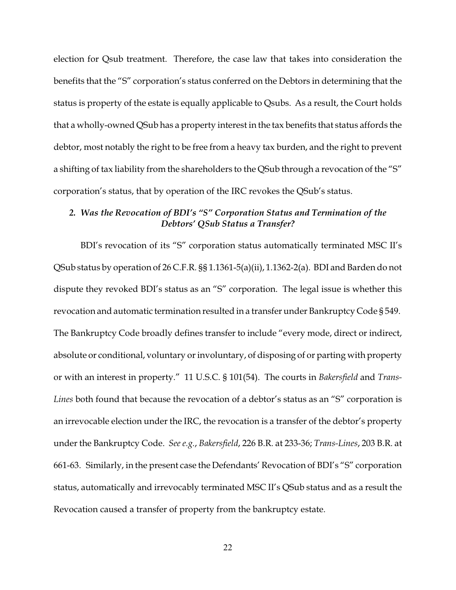election for Qsub treatment. Therefore, the case law that takes into consideration the benefits that the "S" corporation's status conferred on the Debtors in determining that the status is property of the estate is equally applicable to Qsubs. As a result, the Court holds that a wholly-owned QSub has a property interest in the tax benefits that status affords the debtor, most notably the right to be free from a heavy tax burden, and the right to prevent a shifting of tax liability from the shareholders to the QSub through a revocation of the "S" corporation's status, that by operation of the IRC revokes the QSub's status.

## *2. Was the Revocation of BDI's "S" Corporation Status and Termination of the Debtors' QSub Status a Transfer?*

BDI's revocation of its "S" corporation status automatically terminated MSC II's QSub status by operation of 26 C.F.R. §§ 1.1361-5(a)(ii), 1.1362-2(a). BDI and Barden do not dispute they revoked BDI's status as an "S" corporation. The legal issue is whether this revocation and automatic termination resulted in a transfer under Bankruptcy Code § 549. The Bankruptcy Code broadly defines transfer to include "every mode, direct or indirect, absolute or conditional, voluntary or involuntary, of disposing of or parting with property or with an interest in property." 11 U.S.C. § 101(54). The courts in *Bakersfield* and *Trans-Lines* both found that because the revocation of a debtor's status as an "S" corporation is an irrevocable election under the IRC, the revocation is a transfer of the debtor's property under the Bankruptcy Code. *See e.g.*, *Bakersfield*, 226 B.R. at 233-36; *Trans-Lines*, 203 B.R. at 661-63. Similarly, in the present case the Defendants' Revocation of BDI's "S" corporation status, automatically and irrevocably terminated MSC II's QSub status and as a result the Revocation caused a transfer of property from the bankruptcy estate.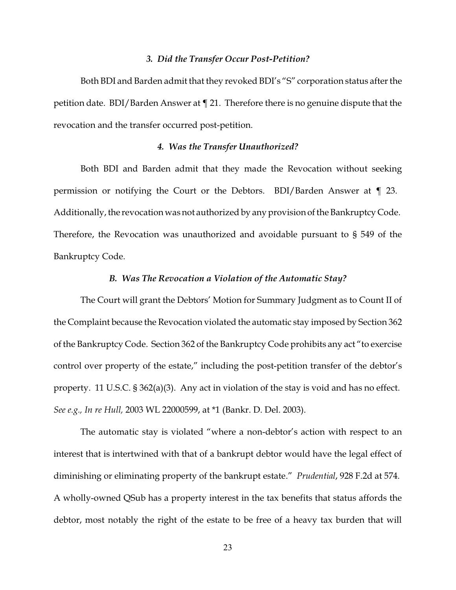#### *3. Did the Transfer Occur Post-Petition?*

Both BDI and Barden admit that they revoked BDI's "S" corporation status after the petition date. BDI/Barden Answer at ¶ 21. Therefore there is no genuine dispute that the revocation and the transfer occurred post-petition.

### *4. Was the Transfer Unauthorized?*

Both BDI and Barden admit that they made the Revocation without seeking permission or notifying the Court or the Debtors. BDI/Barden Answer at ¶ 23. Additionally, the revocation was not authorized by any provision of the Bankruptcy Code. Therefore, the Revocation was unauthorized and avoidable pursuant to § 549 of the Bankruptcy Code.

## *B. Was The Revocation a Violation of the Automatic Stay?*

The Court will grant the Debtors' Motion for Summary Judgment as to Count II of the Complaint because the Revocation violated the automatic stay imposed by Section 362 of the Bankruptcy Code. Section 362 of the Bankruptcy Code prohibits any act "to exercise control over property of the estate," including the post-petition transfer of the debtor's property. 11 U.S.C. § 362(a)(3). Any act in violation of the stay is void and has no effect. *See e.g., In re Hull,* 2003 WL 22000599, at \*1 (Bankr. D. Del. 2003).

The automatic stay is violated "where a non-debtor's action with respect to an interest that is intertwined with that of a bankrupt debtor would have the legal effect of diminishing or eliminating property of the bankrupt estate." *Prudential*, 928 F.2d at 574. A wholly-owned QSub has a property interest in the tax benefits that status affords the debtor, most notably the right of the estate to be free of a heavy tax burden that will